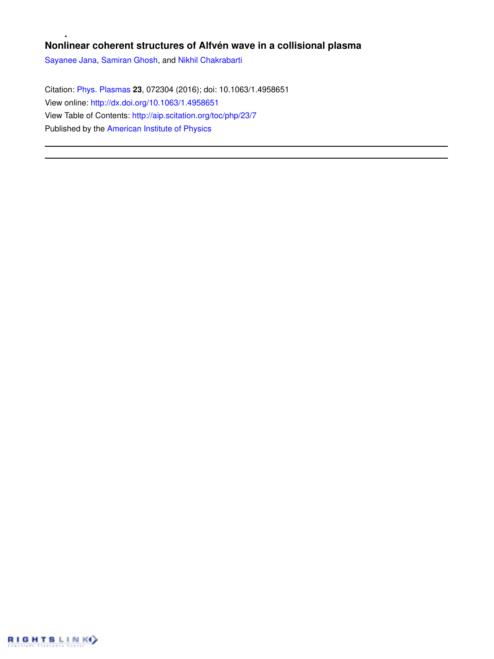# **Nonlinear coherent structures of Alfvén wave in a collisional plasma**

Sayanee Jana, Samiran Ghosh, and Nikhil Chakrabarti

Citation: Phys. Plasmas **23**, 072304 (2016); doi: 10.1063/1.4958651 View online: http://dx.doi.org/10.1063/1.4958651 View Table of Contents: http://aip.scitation.org/toc/php/23/7 Published by the American Institute of Physics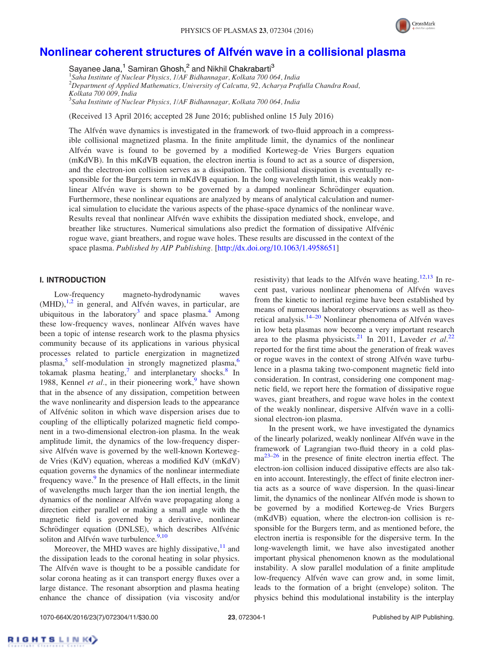

# Nonlinear coherent structures of Alfvén wave in a collisional plasma

Sayanee Jana,<sup>1</sup> Samiran Ghosh,<sup>2</sup> and Nikhil Chakrabarti<sup>3</sup>

 *Saha Institute of Nuclear Physics, 1/AF Bidhannagar, Kolkata 700 064, India Department of Applied Mathematics, University of Calcutta, 92, Acharya Prafulla Chandra Road, Kolkata 700 009, India Saha Institute of Nuclear Physics, 1/AF Bidhannagar, Kolkata 700 064, India*

(Received 13 April 2016; accepted 28 June 2016; published online 15 July 2016)

The Alfvén wave dynamics is investigated in the framework of two-fluid approach in a compressible collisional magnetized plasma. In the finite amplitude limit, the dynamics of the nonlinear Alfvén wave is found to be governed by a modified Korteweg-de Vries Burgers equation (mKdVB). In this mKdVB equation, the electron inertia is found to act as a source of dispersion, and the electron-ion collision serves as a dissipation. The collisional dissipation is eventually responsible for the Burgers term in mKdVB equation. In the long wavelength limit, this weakly nonlinear Alfvén wave is shown to be governed by a damped nonlinear Schrödinger equation. Furthermore, these nonlinear equations are analyzed by means of analytical calculation and numerical simulation to elucidate the various aspects of the phase-space dynamics of the nonlinear wave. Results reveal that nonlinear Alfvén wave exhibits the dissipation mediated shock, envelope, and breather like structures. Numerical simulations also predict the formation of dissipative Alfvénic rogue wave, giant breathers, and rogue wave holes. These results are discussed in the context of the space plasma. *Published by AIP Publishing.* [http://dx.doi.org/10.1063/1.4958651]

# I. INTRODUCTION

Low-frequency magneto-hydrodynamic waves  $(MHD)$ , <sup>1,2</sup> in general, and Alfvén waves, in particular, are ubiquitous in the laboratory<sup>3</sup> and space plasma.<sup>4</sup> Among these low-frequency waves, nonlinear Alfvén waves have been a topic of intense research work to the plasma physics community because of its applications in various physical processes related to particle energization in magnetized plasma,<sup>5</sup> self-modulation in strongly magnetized plasma,<sup>6</sup> tokamak plasma heating, $\frac{7}{1}$  and interplanetary shocks.<sup>8</sup> In 1988, Kennel *et al.*, in their pioneering work,<sup>9</sup> have shown that in the absence of any dissipation, competition between the wave nonlinearity and dispersion leads to the appearance of Alfvénic soliton in which wave dispersion arises due to coupling of the elliptically polarized magnetic field component in a two-dimensional electron-ion plasma. In the weak amplitude limit, the dynamics of the low-frequency dispersive Alfvén wave is governed by the well-known Kortewegde Vries (KdV) equation, whereas a modified KdV (mKdV) equation governs the dynamics of the nonlinear intermediate frequency wave.<sup>9</sup> In the presence of Hall effects, in the limit of wavelengths much larger than the ion inertial length, the dynamics of the nonlinear Alfvén wave propagating along a direction either parallel or making a small angle with the magnetic field is governed by a derivative, nonlinear Schrödinger equation (DNLSE), which describes Alfvénic soliton and Alfvén wave turbulence.<sup>9,10</sup>

Moreover, the MHD waves are highly dissipative,  $11$  and the dissipation leads to the coronal heating in solar physics. The Alfvén wave is thought to be a possible candidate for solar corona heating as it can transport energy fluxes over a large distance. The resonant absorption and plasma heating enhance the chance of dissipation (via viscosity and/or

resistivity) that leads to the Alfvén wave heating.<sup>12,13</sup> In recent past, various nonlinear phenomena of Alfvén waves from the kinetic to inertial regime have been established by means of numerous laboratory observations as well as theoretical analysis.<sup>14-20</sup> Nonlinear phenomena of Alfvén waves in low beta plasmas now become a very important research area to the plasma physicists.<sup>21</sup> In 2011, Laveder *et al.*<sup>22</sup> reported for the first time about the generation of freak waves or rogue waves in the context of strong Alfvén wave turbulence in a plasma taking two-component magnetic field into consideration. In contrast, considering one component magnetic field, we report here the formation of dissipative rogue waves, giant breathers, and rogue wave holes in the context of the weakly nonlinear, dispersive Alfvén wave in a collisional electron-ion plasma.

In the present work, we have investigated the dynamics of the linearly polarized, weakly nonlinear Alfvén wave in the framework of Lagrangian two-fluid theory in a cold plas $ma^{23-26}$  in the presence of finite electron inertia effect. The electron-ion collision induced dissipative effects are also taken into account. Interestingly, the effect of finite electron inertia acts as a source of wave dispersion. In the quasi-linear limit, the dynamics of the nonlinear Alfvén mode is shown to be governed by a modified Korteweg-de Vries Burgers (mKdVB) equation, where the electron-ion collision is responsible for the Burgers term, and as mentioned before, the electron inertia is responsible for the dispersive term. In the long-wavelength limit, we have also investigated another important physical phenomenon known as the modulational instability. A slow parallel modulation of a finite amplitude low-frequency Alfvén wave can grow and, in some limit, leads to the formation of a bright (envelope) soliton. The physics behind this modulational instability is the interplay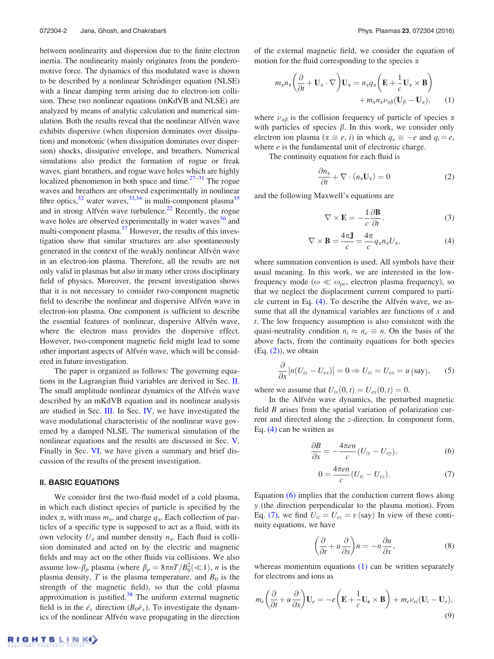between nonlinearity and dispersion due to the finite electron inertia. The nonlinearity mainly originates from the ponderomotive force. The dynamics of this modulated wave is shown to be described by a nonlinear Schrödinger equation (NLSE) with a linear damping term arising due to electron-ion collision. These two nonlinear equations (mKdVB and NLSE) are analyzed by means of analytic calculation and numerical simulation. Both the results reveal that the nonlinear Alfvén wave exhibits dispersive (when dispersion dominates over dissipation) and monotonic (when dissipation dominates over dispersion) shocks, dissipative envelope, and breathers. Numerical simulations also predict the formation of rogue or freak waves, giant breathers, and rogue wave holes which are highly localized phenomenon in both space and time. $27-31$  The rogue waves and breathers are observed experimentally in nonlinear fibre optics,  $32$  water waves,  $33,34$  in multi-component plasma  $35$ and in strong Alfvén wave turbulence.<sup>22</sup> Recently, the rogue wave holes are observed experimentally in water waves<sup>36</sup> and multi-component plasma.<sup>37</sup> However, the results of this investigation show that similar structures are also spontaneously generated in the context of the weakly nonlinear Alfvén wave in an electron-ion plasma. Therefore, all the results are not only valid in plasmas but also in many other cross disciplinary field of physics. Moreover, the present investigation shows that it is not necessary to consider two-component magnetic field to describe the nonlinear and dispersive Alfvén wave in electron-ion plasma. One component is sufficient to describe the essential features of nonlinear, dispersive Alfvén wave, where the electron mass provides the dispersive effect. However, two-component magnetic field might lead to some other important aspects of Alfvén wave, which will be considered in future investigation.

The paper is organized as follows: The governing equations in the Lagrangian fluid variables are derived in Sec. II. The small amplitude nonlinear dynamics of the Alfvén wave described by an mKdVB equation and its nonlinear analysis are studied in Sec. III. In Sec. IV, we have investigated the wave modulational characteristic of the nonlinear wave governed by a damped NLSE. The numerical simulation of the nonlinear equations and the results are discussed in Sec. V. Finally in Sec. VI, we have given a summary and brief discussion of the results of the present investigation.

#### II. BASIC EQUATIONS

We consider first the two-fluid model of a cold plasma, in which each distinct species of particle is specified by the index  $\alpha$ , with mass  $m_{\alpha}$ , and charge  $q_{\alpha}$ . Each collection of particles of a specific type is supposed to act as a fluid, with its own velocity  $U_{\alpha}$  and number density  $n_{\alpha}$ . Each fluid is collision dominated and acted on by the electric and magnetic fields and may act on the other fluids via collisions. We also assume low- $\beta_p$  plasma (where  $\beta_p = 8\pi nT/B_0^2(\ll 1)$ , *n* is the plasma density,  $T$  is the plasma temperature, and  $B_0$  is the strength of the magnetic field), so that the cold plasma approximation is justified. $38$  The uniform external magnetic field is in the  $\hat{e}_x$  direction ( $B_0\hat{e}_x$ ). To investigate the dynamics of the nonlinear Alfvén wave propagating in the direction

of the external magnetic field, we consider the equation of motion for the fluid corresponding to the species  $\alpha$ 

$$
m_{\alpha}n_{\alpha}\left(\frac{\partial}{\partial t} + \mathbf{U}_{\alpha} \cdot \nabla\right)\mathbf{U}_{\alpha} = n_{\alpha}q_{\alpha}\left(\mathbf{E} + \frac{1}{c}\mathbf{U}_{\alpha} \times \mathbf{B}\right) + m_{\alpha}n_{\alpha}\nu_{\alpha\beta}(\mathbf{U}_{\beta} - \mathbf{U}_{\alpha}), \qquad (1)
$$

where  $\nu_{\alpha\beta}$  is the collision frequency of particle of species  $\alpha$ with particles of species  $\beta$ . In this work, we consider only electron ion plasma ( $\alpha \equiv e$ , *i*) in which  $q_e \equiv -e$  and  $q_i = e$ , where *e* is the fundamental unit of electronic charge.

The continuity equation for each fluid is

$$
\frac{\partial n_{\alpha}}{\partial t} + \nabla \cdot (n_{\alpha} \mathbf{U}_{\alpha}) = 0 \tag{2}
$$

and the following Maxwell's equations are

$$
\nabla \times \mathbf{E} = -\frac{1}{c} \frac{\partial \mathbf{B}}{\partial t},\tag{3}
$$

$$
\nabla \times \mathbf{B} = \frac{4\pi \mathbf{J}}{c} = \frac{4\pi}{c} q_{\alpha} n_{\alpha} U_{\alpha}, \tag{4}
$$

where summation convention is used. All symbols have their usual meaning. In this work, we are interested in the lowfrequency mode ( $\omega \ll \omega_{pe}$ , electron plasma frequency), so that we neglect the displacement current compared to particle current in Eq. (4). To describe the Alfvén wave, we assume that all the dynamical variables are functions of *x* and *t*. The low frequency assumption is also consistent with the quasi-neutrality condition  $n_i \approx n_e \equiv n$ . On the basis of the above facts, from the continuity equations for both species  $(Eq. (2))$ , we obtain

$$
\frac{\partial}{\partial x}[n(U_{ix}-U_{ex})]=0 \Rightarrow U_{ix}=U_{ex}=u \text{ (say)}, \quad (5)
$$

where we assume that  $U_{ix}(0, t) = U_{ex}(0, t) = 0$ .

In the Alfvén wave dynamics, the perturbed magnetic field *B* arises from the spatial variation of polarization current and directed along the *z*-direction. In component form, Eq. (4) can be written as

$$
\frac{\partial B}{\partial x} = -\frac{4\pi en}{c} (U_{iy} - U_{ey}), \tag{6}
$$

$$
0 = \frac{4\pi en}{c} (U_{iz} - U_{ez}).
$$
 (7)

Equation (6) implies that the conduction current flows along *y* (the direction perpendicular to the plasma motion). From Eq. (7), we find  $U_{iz} = U_{ez} = v$  (say) In view of these continuity equations, we have

$$
\left(\frac{\partial}{\partial t} + u\frac{\partial}{\partial x}\right)n = -n\frac{\partial u}{\partial x},\tag{8}
$$

whereas momentum equations  $(1)$  can be written separately for electrons and ions as

$$
m_e \left( \frac{\partial}{\partial t} + u \frac{\partial}{\partial x} \right) \mathbf{U}_e = -e \left( \mathbf{E} + \frac{1}{c} \mathbf{U}_e \times \mathbf{B} \right) + m_e \nu_{ei} (\mathbf{U}_i - \mathbf{U}_e),
$$
\n(9)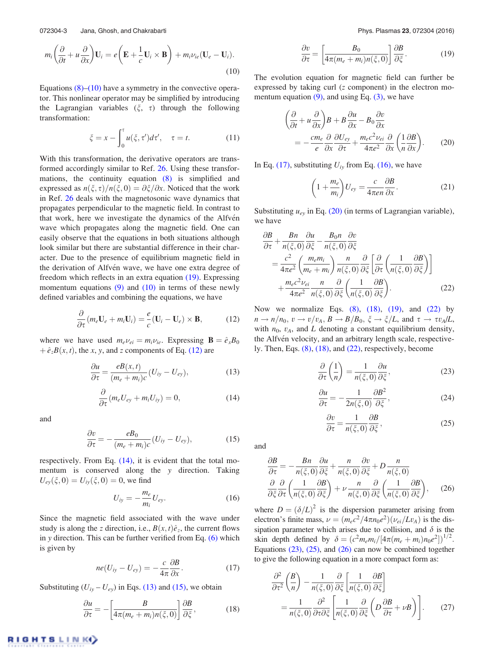072304-3 Jana, Ghosh, and Chakrabarti Phys. Phys. Plasmas 23, 072304 (2016)

$$
m_i \left( \frac{\partial}{\partial t} + u \frac{\partial}{\partial x} \right) \mathbf{U}_i = e \left( \mathbf{E} + \frac{1}{c} \mathbf{U}_i \times \mathbf{B} \right) + m_i \nu_{ie} (\mathbf{U}_e - \mathbf{U}_i).
$$
\n(10)

Equations  $(8)$ – $(10)$  have a symmetry in the convective operator. This nonlinear operator may be simplified by introducing the Lagrangian variables  $(\xi, \tau)$  through the following transformation:

$$
\xi = x - \int_0^{\tau} u(\xi, \tau') d\tau', \quad \tau = t.
$$
 (11)

With this transformation, the derivative operators are transformed accordingly similar to Ref. 26. Using these transformations, the continuity equation (8) is simplified and expressed as  $n(\xi, \tau)/n(\xi, 0) = \partial \xi/\partial x$ . Noticed that the work in Ref. 26 deals with the magnetosonic wave dynamics that propagates perpendicular to the magnetic field. In contrast to that work, here we investigate the dynamics of the Alfvén wave which propagates along the magnetic field. One can easily observe that the equations in both situations although look similar but there are substantial difference in their character. Due to the presence of equilibrium magnetic field in the derivation of Alfvén wave, we have one extra degree of freedom which reflects in an extra equation (19). Expressing momentum equations  $(9)$  and  $(10)$  in terms of these newly defined variables and combining the equations, we have

$$
\frac{\partial}{\partial \tau} (m_e \mathbf{U}_e + m_i \mathbf{U}_i) = \frac{e}{c} (\mathbf{U}_i - \mathbf{U}_e) \times \mathbf{B}, \tag{12}
$$

where we have used  $m_e \nu_{ei} = m_i \nu_{ie}$ . Expressing  $\mathbf{B} = \hat{e}_x B_0$  $\hat{e}_z B(x, t)$ , the *x*, *y*, and *z* components of Eq. (12) are

$$
\frac{\partial u}{\partial \tau} = \frac{e B(x, t)}{(m_e + m_i)c} (U_{iy} - U_{ey}),
$$
\n(13)

$$
\frac{\partial}{\partial \tau} (m_e U_{ey} + m_i U_{iy}) = 0, \qquad (14)
$$

and

$$
\frac{\partial v}{\partial \tau} = -\frac{eB_0}{(m_e + m_i)c} (U_{iy} - U_{ey}), \qquad (15)
$$

respectively. From Eq. (14), it is evident that the total momentum is conserved along the *y* direction. Taking  $U_{ev}(\xi, 0) = U_{iv}(\xi, 0) = 0$ , we find

$$
U_{iy} = -\frac{m_e}{m_i} U_{ey}.
$$
 (16)

Since the magnetic field associated with the wave under study is along the *z* direction, i.e.,  $B(x, t)\hat{e}_z$ , the current flows in *y* direction. This can be further verified from Eq. (6) which is given by

$$
ne(U_{iy}-U_{ey})=-\frac{c}{4\pi}\frac{\partial B}{\partial x}.
$$
 (17)

Substituting  $(U_{iy} - U_{ey})$  in Eqs. (13) and (15), we obtain

$$
\frac{\partial u}{\partial \tau} = -\left[\frac{B}{4\pi(m_e + m_i)n(\xi, 0)}\right] \frac{\partial B}{\partial \xi},\tag{18}
$$

$$
\frac{\partial v}{\partial \tau} = \left[ \frac{B_0}{4\pi (m_e + m_i)n(\xi, 0)} \right] \frac{\partial B}{\partial \xi}.
$$
 (19)

The evolution equation for magnetic field can further be expressed by taking curl (*z* component) in the electron momentum equation  $(9)$ , and using Eq.  $(3)$ , we have

$$
\left(\frac{\partial}{\partial t} + u\frac{\partial}{\partial x}\right)B + B\frac{\partial u}{\partial x} - B_0\frac{\partial v}{\partial x} \n= -\frac{cm_e}{e}\frac{\partial}{\partial x}\frac{\partial U_{ey}}{\partial \tau} + \frac{m_ec^2\nu_{ei}}{4\pi e^2}\frac{\partial}{\partial x}\left(\frac{1}{n}\frac{\partial B}{\partial x}\right).
$$
\n(20)

In Eq. (17), substituting  $U_{iy}$  from Eq. (16), we have

$$
\left(1 + \frac{m_e}{m_i}\right) U_{ey} = \frac{c}{4\pi en} \frac{\partial B}{\partial x}.
$$
 (21)

Substituting  $u_{e<sub>y</sub>}$  in Eq. (20) (in terms of Lagrangian variable), we have

$$
\frac{\partial B}{\partial \tau} + \frac{Bn}{n(\xi, 0)} \frac{\partial u}{\partial \xi} - \frac{B_0 n}{n(\xi, 0)} \frac{\partial v}{\partial \xi} \n= \frac{c^2}{4\pi e^2} \left( \frac{m_e m_i}{m_e + m_i} \right) \frac{n}{n(\xi, 0)} \frac{\partial}{\partial \xi} \left[ \frac{\partial}{\partial \tau} \left( \frac{1}{n(\xi, 0)} \frac{\partial B}{\partial \xi} \right) \right] \n+ \frac{m_e c^2 \nu_{ei}}{4\pi e^2} \frac{n}{n(\xi, 0)} \frac{\partial}{\partial \xi} \left( \frac{1}{n(\xi, 0)} \frac{\partial B}{\partial \xi} \right).
$$
\n(22)

Now we normalize Eqs.  $(8)$ ,  $(18)$ ,  $(19)$ , and  $(22)$  by  $n \rightarrow n/n_0$ ,  $v \rightarrow v/v_A$ ,  $B \rightarrow B/B_0$ ,  $\xi \rightarrow \xi/L$ , and  $\tau \rightarrow \tau v_A/L$ , with  $n_0$ ,  $v_A$ , and *L* denoting a constant equilibrium density, the Alfvén velocity, and an arbitrary length scale, respectively. Then, Eqs. (8), (18), and (22), respectively, become

$$
\frac{\partial}{\partial \tau} \left( \frac{1}{n} \right) = \frac{1}{n(\xi, 0)} \frac{\partial u}{\partial \xi},\tag{23}
$$

$$
\frac{\partial u}{\partial \tau} = -\frac{1}{2n(\xi,0)} \frac{\partial B^2}{\partial \xi},\tag{24}
$$

$$
\frac{\partial v}{\partial \tau} = \frac{1}{n(\xi, 0)} \frac{\partial B}{\partial \xi},\tag{25}
$$

and

$$
\frac{\partial B}{\partial \tau} = -\frac{Bn}{n(\xi, 0)} \frac{\partial u}{\partial \xi} + \frac{n}{n(\xi, 0)} \frac{\partial v}{\partial \xi} + D \frac{n}{n(\xi, 0)}
$$

$$
\frac{\partial}{\partial \xi} \frac{\partial}{\partial \tau} \left( \frac{1}{n(\xi, 0)} \frac{\partial B}{\partial \xi} \right) + \nu \frac{n}{n(\xi, 0)} \frac{\partial}{\partial \xi} \left( \frac{1}{n(\xi, 0)} \frac{\partial B}{\partial \xi} \right), \quad (26)
$$

where  $D = (\delta/L)^2$  is the dispersion parameter arising from electron's finite mass,  $\nu = (m_e c^2 / 4\pi n_0 e^2)(\nu_{ei}/Lv_A)$  is the dissipation parameter which arises due to collision, and  $\delta$  is the skin depth defined by  $\delta = (c^2 m_e m_i / [4\pi (m_e + m_i) n_0 e^2])^{1/2}$ . Equations  $(23)$ ,  $(25)$ , and  $(26)$  can now be combined together to give the following equation in a more compact form as:

$$
\frac{\partial^2}{\partial \tau^2} \left( \frac{B}{n} \right) - \frac{1}{n(\xi, 0)} \frac{\partial}{\partial \xi} \left[ \frac{1}{n(\xi, 0)} \frac{\partial B}{\partial \xi} \right]
$$

$$
= \frac{1}{n(\xi, 0)} \frac{\partial^2}{\partial \tau \partial \xi} \left[ \frac{1}{n(\xi, 0)} \frac{\partial}{\partial \xi} \left( D \frac{\partial B}{\partial \tau} + \nu B \right) \right].
$$
(27)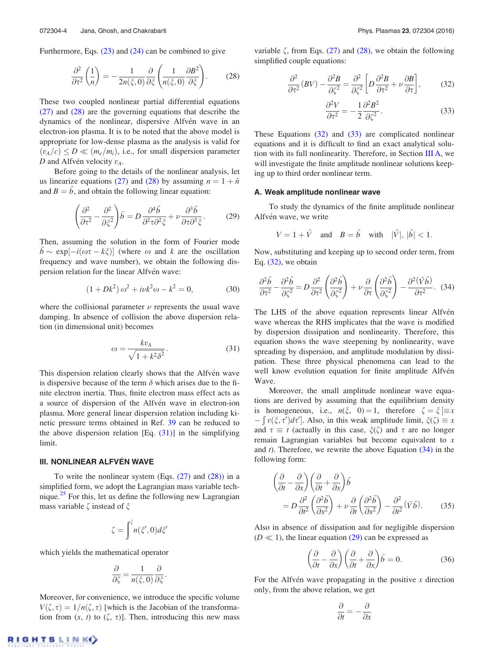Furthermore, Eqs. (23) and (24) can be combined to give

$$
\frac{\partial^2}{\partial \tau^2} \left( \frac{1}{n} \right) = -\frac{1}{2n(\xi, 0)} \frac{\partial}{\partial \xi} \left( \frac{1}{n(\xi, 0)} \frac{\partial B^2}{\partial \xi} \right). \tag{28}
$$

These two coupled nonlinear partial differential equations (27) and (28) are the governing equations that describe the dynamics of the nonlinear, dispersive Alfvén wave in an electron-ion plasma. It is to be noted that the above model is appropriate for low-dense plasma as the analysis is valid for  $(v_A/c) \le D \ll (m_e/m_i)$ , i.e., for small dispersion parameter  $D$  and Alfvén velocity  $v_A$ .

Before going to the details of the nonlinear analysis, let us linearize equations (27) and (28) by assuming  $n = 1 + \tilde{n}$ and  $B = \tilde{b}$ , and obtain the following linear equation:

$$
\left(\frac{\partial^2}{\partial \tau^2} - \frac{\partial^2}{\partial \xi^2}\right)\tilde{b} = D \frac{\partial^4 \tilde{b}}{\partial^2 \tau \partial^2 \xi} + \nu \frac{\partial^3 \tilde{b}}{\partial \tau \partial^3 \xi}.
$$
 (29)

Then, assuming the solution in the form of Fourier mode  $\vec{b} \sim \exp[-i(\omega \tau - k \xi)]$  (where  $\omega$  and *k* are the oscillation frequency and wave number), we obtain the following dispersion relation for the linear Alfvén wave:

$$
(1 + Dk2) \omega2 + i\nu k2 \omega - k2 = 0,
$$
 (30)

where the collisional parameter  $\nu$  represents the usual wave damping. In absence of collision the above dispersion relation (in dimensional unit) becomes

$$
\omega = \frac{k v_A}{\sqrt{1 + k^2 \delta^2}}.
$$
\n(31)

This dispersion relation clearly shows that the Alfvén wave is dispersive because of the term  $\delta$  which arises due to the finite electron inertia. Thus, finite electron mass effect acts as a source of dispersion of the Alfvén wave in electron-ion plasma. More general linear dispersion relation including kinetic pressure terms obtained in Ref. 39 can be reduced to the above dispersion relation  $[Eq. (31)]$  in the simplifying limit.

# **III. NONLINEAR ALFVÉN WAVE**

To write the nonlinear system (Eqs.  $(27)$  and  $(28)$ ) in a simplified form, we adopt the Lagrangian mass variable technique.<sup>25</sup> For this, let us define the following new Lagrangian mass variable  $\zeta$  instead of  $\xi$ 

$$
\zeta = \int^{\xi} n(\xi',0)d\xi'
$$

which yields the mathematical operator

$$
\frac{\partial}{\partial \zeta} = \frac{1}{n(\xi,0)} \frac{\partial}{\partial \xi}.
$$

Moreover, for convenience, we introduce the specific volume  $V(\zeta, \tau) = 1/n(\zeta, \tau)$  [which is the Jacobian of the transformation from  $(x, t)$  to  $(\zeta, \tau)$ ]. Then, introducing this new mass variable  $\zeta$ , from Eqs. (27) and (28), we obtain the following simplified couple equations:

$$
\frac{\partial^2}{\partial \tau^2} (BV) - \frac{\partial^2 B}{\partial \zeta^2} = \frac{\partial^2}{\partial \zeta^2} \left[ D \frac{\partial^2 B}{\partial \tau^2} + \nu \frac{\partial B}{\partial \tau} \right],\tag{32}
$$

$$
\frac{\partial^2 V}{\partial \tau^2} = -\frac{1}{2} \frac{\partial^2 B^2}{\partial \zeta^2}.
$$
 (33)

These Equations (32) and (33) are complicated nonlinear equations and it is difficult to find an exact analytical solution with its full nonlinearity. Therefore, in Section III A, we will investigate the finite amplitude nonlinear solutions keeping up to third order nonlinear term.

#### A. Weak amplitude nonlinear wave

To study the dynamics of the finite amplitude nonlinear Alfvén wave, we write

$$
V = 1 + \tilde{V} \quad \text{and} \quad B = \tilde{b} \quad \text{with} \quad |\tilde{V}|, |\tilde{b}| < 1.
$$

Now, substituting and keeping up to second order term, from Eq.  $(32)$ , we obtain

$$
\frac{\partial^2 \tilde{b}}{\partial \tau^2} - \frac{\partial^2 \tilde{b}}{\partial \zeta^2} = D \frac{\partial^2}{\partial \tau^2} \left( \frac{\partial^2 \tilde{b}}{\partial \zeta^2} \right) + \nu \frac{\partial}{\partial \tau} \left( \frac{\partial^2 \tilde{b}}{\partial \zeta^2} \right) - \frac{\partial^2 (\tilde{V}\tilde{b})}{\partial \tau^2}.
$$
 (34)

The LHS of the above equation represents linear Alfvén wave whereas the RHS implicates that the wave is modified by dispersion dissipation and nonlinearity. Therefore, this equation shows the wave steepening by nonlinearity, wave spreading by dispersion, and amplitude modulation by dissipation. These three physical phenomena can lead to the well know evolution equation for finite amplitude Alfvén Wave.

Moreover, the small amplitude nonlinear wave equations are derived by assuming that the equilibrium density is homogeneous, i.e.,  $n(\xi, 0) = 1$ , therefore  $\zeta = \xi$   $\equiv x$  $-\int v(\xi, \tau') d\tau'$ . Also, in this weak amplitude limit,  $\zeta(\zeta) \equiv x$ and  $\tau \equiv t$  (actually in this case,  $\xi(\zeta)$  and  $\tau$  are no longer remain Lagrangian variables but become equivalent to *x* and *t*). Therefore, we rewrite the above Equation (34) in the following form:

$$
\begin{split} \left(\frac{\partial}{\partial t} - \frac{\partial}{\partial x}\right) \left(\frac{\partial}{\partial t} + \frac{\partial}{\partial x}\right) \tilde{b} \\ &= D \frac{\partial^2}{\partial t^2} \left(\frac{\partial^2 \tilde{b}}{\partial x^2}\right) + \nu \frac{\partial}{\partial t} \left(\frac{\partial^2 \tilde{b}}{\partial x^2}\right) - \frac{\partial^2}{\partial t^2} (\tilde{V}\tilde{b}). \end{split} \tag{35}
$$

Also in absence of dissipation and for negligible dispersion  $(D \ll 1)$ , the linear equation (29) can be expressed as

$$
\left(\frac{\partial}{\partial t} - \frac{\partial}{\partial x}\right) \left(\frac{\partial}{\partial t} + \frac{\partial}{\partial x}\right) \tilde{b} = 0.
$$
 (36)

For the Alfvén wave propagating in the positive  $x$  direction only, from the above relation, we get

$$
\frac{\partial}{\partial t} = -\frac{\partial}{\partial x}
$$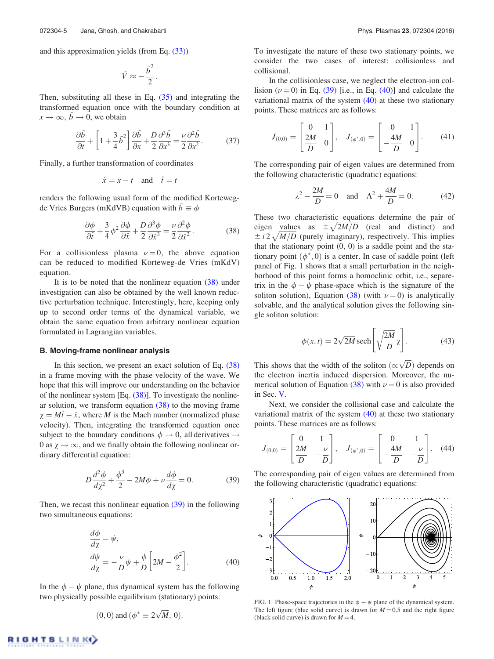and this approximation yields (from Eq. (33))

$$
\tilde{V} \approx -\frac{\tilde{b}^2}{2}.
$$

Then, substituting all these in Eq.  $(35)$  and integrating the transformed equation once with the boundary condition at  $x \to \infty$ ,  $\tilde{b} \to 0$ , we obtain

$$
\frac{\partial \tilde{b}}{\partial t} + \left[1 + \frac{3}{4}\tilde{b}^2\right]\frac{\partial \tilde{b}}{\partial x} + \frac{D}{2}\frac{\partial^3 \tilde{b}}{\partial x^3} = \frac{\nu}{2}\frac{\partial^2 \tilde{b}}{\partial x^2}.
$$
 (37)

Finally, a further transformation of coordinates

$$
\hat{x} = x - t \quad \text{and} \quad \hat{t} = t
$$

renders the following usual form of the modified Kortewegde Vries Burgers (mKdVB) equation with  $b \equiv \phi$ 

$$
\frac{\partial \phi}{\partial \hat{t}} + \frac{3}{4} \phi^2 \frac{\partial \phi}{\partial \hat{x}} + \frac{D}{2} \frac{\partial^3 \phi}{\partial \hat{x}^3} = \frac{\nu}{2} \frac{\partial^2 \phi}{\partial \hat{x}^2}.
$$
 (38)

For a collisionless plasma  $\nu = 0$ , the above equation can be reduced to modified Korteweg-de Vries (mKdV) equation.

It is to be noted that the nonlinear equation (38) under investigation can also be obtained by the well known reductive perturbation technique. Interestingly, here, keeping only up to second order terms of the dynamical variable, we obtain the same equation from arbitrary nonlinear equation formulated in Lagrangian variables.

#### B. Moving-frame nonlinear analysis

In this section, we present an exact solution of Eq. (38) in a frame moving with the phase velocity of the wave. We hope that this will improve our understanding on the behavior of the nonlinear system  $[Eq. (38)]$ . To investigate the nonlinear solution, we transform equation (38) to the moving frame  $\chi = M\hat{t} - \hat{x}$ , where *M* is the Mach number (normalized phase velocity). Then, integrating the transformed equation once subject to the boundary conditions  $\phi \rightarrow 0$ , all derivatives  $\rightarrow$ 0 as  $\chi \rightarrow \infty$ , and we finally obtain the following nonlinear ordinary differential equation:

$$
D\frac{d^2\phi}{dx^2} + \frac{\phi^3}{2} - 2M\phi + \nu\frac{d\phi}{dx} = 0.
$$
 (39)

Then, we recast this nonlinear equation  $(39)$  in the following two simultaneous equations:

$$
\frac{d\phi}{d\chi} = \psi,
$$
  
\n
$$
\frac{d\psi}{d\chi} = -\frac{\nu}{D}\psi + \frac{\phi}{D}\left[2M - \frac{\phi^2}{2}\right].
$$
\n(40)

In the  $\phi - \psi$  plane, this dynamical system has the following two physically possible equilibrium (stationary) points:

$$
(0, 0)
$$
 and  $(\phi^* \equiv 2\sqrt{M}, 0)$ .

To investigate the nature of these two stationary points, we consider the two cases of interest: collisionless and collisional.

In the collisionless case, we neglect the electron-ion collision  $(\nu = 0)$  in Eq. (39) [i.e., in Eq. (40)] and calculate the variational matrix of the system (40) at these two stationary points. These matrices are as follows:

$$
J_{(0,0)} = \begin{bmatrix} 0 & 1 \\ \frac{2M}{D} & 0 \end{bmatrix}, \quad J_{(\phi^*,0)} = \begin{bmatrix} 0 & 1 \\ -\frac{4M}{D} & 0 \end{bmatrix}.
$$
 (41)

The corresponding pair of eigen values are determined from the following characteristic (quadratic) equations:

$$
\lambda^2 - \frac{2M}{D} = 0 \quad \text{and} \quad \Lambda^2 + \frac{4M}{D} = 0. \tag{42}
$$

These two characteristic equations determine the pair of eigen values as  $\pm \sqrt{2M/D}$  (real and distinct) and  $\pm i2\sqrt{M/D}$  (purely imaginary), respectively. This implies that the stationary point  $(0, 0)$  is a saddle point and the stationary point  $(\phi^*, 0)$  is a center. In case of saddle point (left panel of Fig. 1 shows that a small perturbation in the neighborhood of this point forms a homoclinic orbit, i.e., separetrix in the  $\phi - \psi$  phase-space which is the signature of the soliton solution), Equation (38) (with  $\nu = 0$ ) is analytically solvable, and the analytical solution gives the following single soliton solution:

$$
\phi(x,t) = 2\sqrt{2M} \operatorname{sech}\left[\sqrt{\frac{2M}{D}}\chi\right].\tag{43}
$$

This shows that the width of the soliton  $(\propto \sqrt{D})$  depends on the electron inertia induced dispersion. Moreover, the numerical solution of Equation (38) with  $\nu = 0$  is also provided in Sec. V.

Next, we consider the collisional case and calculate the variational matrix of the system (40) at these two stationary points. These matrices are as follows:

$$
J_{(0,0)} = \begin{bmatrix} 0 & 1 \\ \frac{2M}{D} & -\frac{\nu}{D} \end{bmatrix}, \quad J_{(\phi^*,0)} = \begin{bmatrix} 0 & 1 \\ -\frac{4M}{D} & -\frac{\nu}{D} \end{bmatrix}.
$$
 (44)

The corresponding pair of eigen values are determined from the following characteristic (quadratic) equations:



FIG. 1. Phase-space trajectories in the  $\phi - \psi$  plane of the dynamical system. The left figure (blue solid curve) is drawn for  $M = 0.5$  and the right figure (black solid curve) is drawn for  $M = 4$ .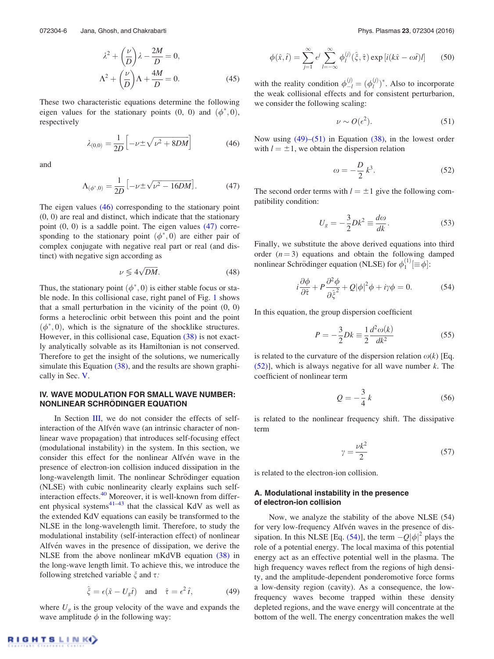$$
\lambda^2 + \left(\frac{\nu}{D}\right)\lambda - \frac{2M}{D} = 0,
$$
  

$$
\Lambda^2 + \left(\frac{\nu}{D}\right)\Lambda + \frac{4M}{D} = 0.
$$
 (45)

These two characteristic equations determine the following eigen values for the stationary points  $(0, 0)$  and  $(\phi^*, 0)$ , respectively

$$
\lambda_{(0,0)} = \frac{1}{2D} \left[ -\nu \pm \sqrt{\nu^2 + 8DM} \right] \tag{46}
$$

and

$$
\Lambda_{(\phi^*,0)} = \frac{1}{2D} \left[ -\nu \pm \sqrt{\nu^2 - 16DM} \right]. \tag{47}
$$

The eigen values (46) corresponding to the stationary point (0, 0) are real and distinct, which indicate that the stationary point (0, 0) is a saddle point. The eigen values (47) corresponding to the stationary point  $(\phi^*, 0)$  are either pair of complex conjugate with negative real part or real (and distinct) with negative sign according as

$$
\nu \lessgtr 4\sqrt{DM}.\tag{48}
$$

Thus, the stationary point  $(\phi^*, 0)$  is either stable focus or stable node. In this collisional case, right panel of Fig. 1 shows that a small perturbation in the vicinity of the point  $(0, 0)$ forms a heteroclinic orbit between this point and the point  $(\phi^*, 0)$ , which is the signature of the shocklike structures. However, in this collisional case, Equation (38) is not exactly analytically solvable as its Hamiltonian is not conserved. Therefore to get the insight of the solutions, we numerically simulate this Equation (38), and the results are shown graphically in Sec. V.

## IV. WAVE MODULATION FOR SMALL WAVE NUMBER: **NONLINEAR SCHRODINGER EQUATION**

In Section III, we do not consider the effects of selfinteraction of the Alfvén wave (an intrinsic character of nonlinear wave propagation) that introduces self-focusing effect (modulational instability) in the system. In this section, we consider this effect for the nonlinear Alfvén wave in the presence of electron-ion collision induced dissipation in the long-wavelength limit. The nonlinear Schrödinger equation (NLSE) with cubic nonlinearity clearly explains such selfinteraction effects.<sup>40</sup> Moreover, it is well-known from different physical systems $41-43$  that the classical KdV as well as the extended KdV equations can easily be transformed to the NLSE in the long-wavelength limit. Therefore, to study the modulational instability (self-interaction effect) of nonlinear Alfvén waves in the presence of dissipation, we derive the NLSE from the above nonlinear mKdVB equation (38) in the long-wave length limit. To achieve this, we introduce the following stretched variable  $\xi$  and  $\tau$ .

$$
\hat{\xi} = \epsilon(\hat{x} - U_g \hat{t}) \quad \text{and} \quad \hat{\tau} = \epsilon^2 \hat{t}, \tag{49}
$$

where  $U_g$  is the group velocity of the wave and expands the wave amplitude  $\phi$  in the following way:

$$
\phi(\hat{x},\hat{t}) = \sum_{j=1}^{\infty} e^j \sum_{l=-\infty}^{\infty} \phi_l^{(j)}(\hat{\xi},\hat{\tau}) \exp[i(k\hat{x}-\omega\hat{t})l] \qquad (50)
$$

with the reality condition  $\phi_{-l}^{(j)} = (\phi_l^{(j)})^*$ . Also to incorporate the weak collisional effects and for consistent perturbarion, we consider the following scaling:

$$
\nu \sim O(\epsilon^2). \tag{51}
$$

Now using (49)–(51) in Equation (38), in the lowest order with  $l = \pm 1$ , we obtain the dispersion relation

$$
\omega = -\frac{D}{2}k^3. \tag{52}
$$

The second order terms with  $l = \pm 1$  give the following compatibility condition:

$$
U_g = -\frac{3}{2}Dk^2 \equiv \frac{d\omega}{dk}.
$$
 (53)

Finally, we substitute the above derived equations into third order  $(n=3)$  equations and obtain the following damped nonlinear Schrödinger equation (NLSE) for  $\phi_1^{(1)}$   $[\equiv \phi]$ :

$$
i\frac{\partial\phi}{\partial\hat{\tau}} + P\frac{\partial^2\phi}{\partial\hat{\xi}^2} + Q|\phi|^2\phi + i\gamma\phi = 0.
$$
 (54)

In this equation, the group dispersion coefficient

$$
P = -\frac{3}{2}Dk \equiv \frac{1}{2}\frac{d^2\omega(k)}{dk^2}
$$
 (55)

is related to the curvature of the dispersion relation  $\omega(k)$  [Eq. (52)], which is always negative for all wave number *k*. The coefficient of nonlinear term

$$
Q = -\frac{3}{4}k\tag{56}
$$

is related to the nonlinear frequency shift. The dissipative term

$$
\gamma = \frac{\nu k^2}{2} \tag{57}
$$

is related to the electron-ion collision.

# A. Modulational instability in the presence of electron-ion collision

Now, we analyze the stability of the above NLSE (54) for very low-frequency Alfvén waves in the presence of dissipation. In this NLSE [Eq. (54)], the term  $-Q|\phi|^2$  plays the role of a potential energy. The local maxima of this potential energy act as an effective potential well in the plasma. The high frequency waves reflect from the regions of high density, and the amplitude-dependent ponderomotive force forms a low-density region (cavity). As a consequence, the lowfrequency waves become trapped within these density depleted regions, and the wave energy will concentrate at the bottom of the well. The energy concentration makes the well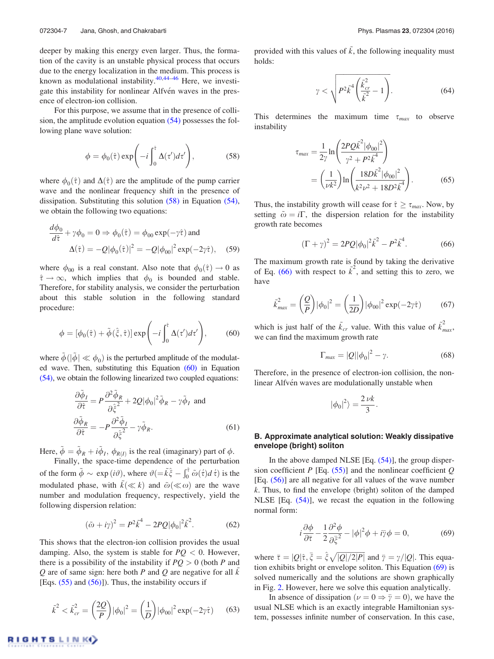deeper by making this energy even larger. Thus, the formation of the cavity is an unstable physical process that occurs due to the energy localization in the medium. This process is known as modulational instability.  $40,44-46$  Here, we investigate this instability for nonlinear Alfvén waves in the presence of electron-ion collision.

For this purpose, we assume that in the presence of collision, the amplitude evolution equation (54) possesses the following plane wave solution:

$$
\phi = \phi_0(\hat{\tau}) \exp\left(-i \int_0^{\hat{\tau}} \Delta(\tau') d\tau'\right),\tag{58}
$$

where  $\phi_0(\hat{\tau})$  and  $\Delta(\hat{\tau})$  are the amplitude of the pump carrier wave and the nonlinear frequency shift in the presence of dissipation. Substituting this solution (58) in Equation (54), we obtain the following two equations:

$$
\frac{d\phi_0}{d\hat{\tau}} + \gamma \phi_0 = 0 \Rightarrow \phi_0(\hat{\tau}) = \phi_{00} \exp(-\gamma \hat{\tau}) \text{ and}
$$

$$
\Delta(\hat{\tau}) = -Q|\phi_0(\hat{\tau})|^2 = -Q|\phi_{00}|^2 \exp(-2\gamma \hat{\tau}), \quad (59)
$$

where  $\phi_{00}$  is a real constant. Also note that  $\phi_0(\hat{\tau}) \to 0$  as  $\hat{\tau} \to \infty$ , which implies that  $\phi_0$  is bounded and stable. Therefore, for stability analysis, we consider the perturbation about this stable solution in the following standard procedure:

$$
\phi = [\phi_0(\hat{\tau}) + \tilde{\phi}(\hat{\xi}, \hat{\tau})] \exp\left(-i \int_0^{\hat{\tau}} \Delta(\tau') d\tau'\right),\tag{60}
$$

where  $\tilde{\phi}$  ( $|\tilde{\phi}| \ll \phi_0$ ) is the perturbed amplitude of the modulated wave. Then, substituting this Equation (60) in Equation (54), we obtain the following linearized two coupled equations:

$$
\frac{\partial \tilde{\phi}_I}{\partial \hat{\tau}} = P \frac{\partial^2 \tilde{\phi}_R}{\partial \hat{\zeta}^2} + 2Q |\phi_0|^2 \tilde{\phi}_R - \gamma \tilde{\phi}_I \text{ and}
$$

$$
\frac{\partial \tilde{\phi}_R}{\partial \hat{\tau}} = -P \frac{\partial^2 \tilde{\phi}_I}{\partial \hat{\zeta}^2} - \gamma \tilde{\phi}_R.
$$
(61)

Here,  $\tilde{\phi} = \tilde{\phi}_R + i \tilde{\phi}_I$ ,  $\phi_{R(I)}$  is the real (imaginary) part of  $\phi$ .

Finally, the space-time dependence of the perturbation of the form  $\tilde{\phi} \sim \exp(i\vartheta)$ , where  $\vartheta (= \tilde{k}\hat{\xi} - \int_0^{\hat{\tau}} \tilde{\omega}(\hat{\tau}) d\hat{\tau}$  is the modulated phase, with  $\tilde{k}(\ll k)$  and  $\tilde{\omega}(\ll \omega)$  are the wave number and modulation frequency, respectively, yield the following dispersion relation:

$$
(\tilde{\omega} + i\gamma)^2 = P^2 \tilde{k}^4 - 2PQ |\phi_0|^2 \tilde{k}^2.
$$
 (62)

This shows that the electron-ion collision provides the usual damping. Also, the system is stable for  $PQ < 0$ . However, there is a possibility of the instability if  $PQ > 0$  (both *P* and *<sup>Q</sup>* are of same sign: here both *<sup>P</sup>* and *<sup>Q</sup>* are negative for all *<sup>k</sup>*<sup>~</sup> [Eqs.  $(55)$  and  $(56)$ ]). Thus, the instability occurs if

$$
\tilde{k}^2 < \tilde{k}_{cr}^2 = \left(\frac{2Q}{P}\right) |\phi_0|^2 = \left(\frac{1}{D}\right) |\phi_{00}|^2 \exp(-2\gamma \hat{\tau}) \tag{63}
$$

provided with this values of  $\tilde{k}$ , the following inequality must holds:

$$
\gamma < \sqrt{P^2 \tilde{k}^4 \left(\frac{\tilde{k}_{cr}^2}{\tilde{k}^2} - 1\right)}.\tag{64}
$$

This determines the maximum time  $\tau_{max}$  to observe instability

$$
\tau_{max} = \frac{1}{2\gamma} \ln \left( \frac{2PQ\tilde{k}^2 |\phi_{00}|^2}{\gamma^2 + P^2 \tilde{k}^4} \right)
$$
  
= 
$$
\left( \frac{1}{\nu k^2} \right) \ln \left( \frac{18D\tilde{k}^2 |\phi_{00}|^2}{k^2 \nu^2 + 18D^2 \tilde{k}^4} \right).
$$
 (65)

Thus, the instability growth will cease for  $\hat{\tau} \geq \tau_{max}$ . Now, by setting  $\tilde{\omega} = i\Gamma$ , the dispersion relation for the instability growth rate becomes

$$
(\Gamma + \gamma)^2 = 2PQ|\phi_0|^2 \tilde{k}^2 - P^2 \tilde{k}^4.
$$
 (66)

The maximum growth rate is found by taking the derivative of Eq.  $(66)$  with respect to  $\vec{k}^2$ , and setting this to zero, we have

$$
\tilde{k}_{\text{max}}^2 = \left(\frac{Q}{P}\right) |\phi_0|^2 = \left(\frac{1}{2D}\right) |\phi_{00}|^2 \exp(-2\gamma \hat{\tau}) \tag{67}
$$

which is just half of the  $\tilde{k}_{cr}$  value. With this value of  $\tilde{k}_{max}^2$ , we can find the maximum growth rate

$$
\Gamma_{\text{max}} = |Q||\phi_0|^2 - \gamma. \tag{68}
$$

Therefore, in the presence of electron-ion collision, the nonlinear Alfvén waves are modulationally unstable when

$$
|\phi_0|^2\rangle = \frac{2 \nu k}{3}.
$$

#### B. Approximate analytical solution: Weakly dissipative envelope (bright) soliton

In the above damped NLSE  $[Eq. (54)]$ , the group dispersion coefficient *P* [Eq. (55)] and the nonlinear coefficient *Q* [Eq. (56)] are all negative for all values of the wave number *k*. Thus, to find the envelope (bright) soliton of the damped NLSE [Eq.  $(54)$ ], we recast the equation in the following normal form:

$$
i\frac{\partial\phi}{\partial\bar{\tau}} - \frac{1}{2}\frac{\partial^2\phi}{\partial\bar{\xi}^2} - |\phi|^2\phi + i\bar{\gamma}\phi = 0,\tag{69}
$$

where  $\bar{\tau} = |Q|\hat{\tau}, \bar{\xi} = \hat{\xi}\sqrt{|Q|/2|P|}$  and  $\bar{\gamma} = \gamma/|Q|$ . This equation exhibits bright or envelope soliton. This Equation (69) is solved numerically and the solutions are shown graphically in Fig. 2. However, here we solve this equation analytically.

In absence of dissipation ( $\nu = 0 \Rightarrow \overline{\overline{\gamma}} = 0$ ), we have the usual NLSE which is an exactly integrable Hamiltonian system, possesses infinite number of conservation. In this case,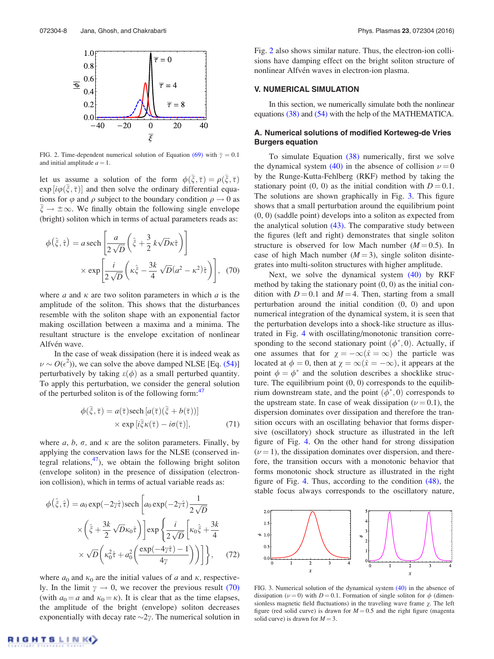

FIG. 2. Time-dependent numerical solution of Equation (69) with  $\bar{y} = 0.1$ and initial amplitude  $a = 1$ .

let us assume a solution of the form  $\phi(\bar{\xi}, \bar{\tau}) = \rho(\bar{\xi}, \bar{\tau})$  $\exp[i\varphi(\xi, \bar{\tau})]$  and then solve the ordinary differential equations for  $\varphi$  and  $\rho$  subject to the boundary condition  $\rho \to 0$  as  $\xi \to \pm \infty$ . We finally obtain the following single envelope (bright) soliton which in terms of actual parameters reads as:

$$
\phi(\hat{\xi}, \hat{\tau}) = a \operatorname{sech}\left[\frac{a}{2\sqrt{D}}\left(\hat{\xi} + \frac{3}{2}k\sqrt{D}\kappa\hat{\tau}\right)\right]
$$

$$
\times \exp\left[\frac{i}{2\sqrt{D}}\left(\kappa\hat{\xi} - \frac{3k}{4}\sqrt{D}(a^2 - \kappa^2)\hat{\tau}\right)\right], (70)
$$

where  $a$  and  $\kappa$  are two soliton parameters in which  $a$  is the amplitude of the soliton. This shows that the disturbances resemble with the soliton shape with an exponential factor making oscillation between a maxima and a minima. The resultant structure is the envelope excitation of nonlinear Alfvén wave.

In the case of weak dissipation (here it is indeed weak as  $\nu \sim O(\epsilon^2)$ , we can solve the above damped NLSE [Eq. (54)] perturbatively by taking  $\varepsilon(\phi)$  as a small perturbed quantity. To apply this perturbation, we consider the general solution of the perturbed soliton is of the following form:<sup>47</sup>

$$
\phi(\bar{\xi}, \bar{\tau}) = a(\bar{\tau}) \text{sech} [a(\bar{\tau})(\bar{\xi} + b(\bar{\tau}))]
$$
  
× exp [i\bar{\xi}\kappa(\bar{\tau}) - i\sigma(\bar{\tau})], (71)

where  $a, b, \sigma$ , and  $\kappa$  are the soliton parameters. Finally, by applying the conservation laws for the NLSE (conserved integral relations,  $47$ ), we obtain the following bright soliton (envelope soliton) in the presence of dissipation (electronion collision), which in terms of actual variable reads as:

$$
\phi(\hat{\xi}, \hat{\tau}) = a_0 \exp(-2\gamma \hat{\tau}) \text{sech}\left[a_0 \exp(-2\gamma \hat{\tau}) \frac{1}{2\sqrt{D}}\right]
$$

$$
\times \left(\hat{\xi} + \frac{3k}{2} \sqrt{D} \kappa_0 \hat{\tau}\right) \left] \exp\left\{\frac{i}{2\sqrt{D}} \left[\kappa_0 \hat{\xi} + \frac{3k}{4}\right.\right.
$$

$$
\times \sqrt{D} \left(\kappa_0^2 \hat{\tau} + a_0^2 \left(\frac{\exp(-4\gamma \hat{\tau}) - 1}{4\gamma}\right)\right) \right] \bigg\}, \quad (72)
$$

where  $a_0$  and  $\kappa_0$  are the initial values of *a* and  $\kappa$ , respectively. In the limit  $\gamma \to 0$ , we recover the previous result (70) (with  $a_0 = a$  and  $\kappa_0 = \kappa$ ). It is clear that as the time elapses, the amplitude of the bright (envelope) soliton decreases exponentially with decay rate  $\sim$ 2 $\gamma$ . The numerical solution in

Fig. 2 also shows similar nature. Thus, the electron-ion collisions have damping effect on the bright soliton structure of nonlinear Alfvén waves in electron-ion plasma.

#### V. NUMERICAL SIMULATION

In this section, we numerically simulate both the nonlinear equations (38) and (54) with the help of the MATHEMATICA.

## A. Numerical solutions of modified Korteweg-de Vries Burgers equation

To simulate Equation (38) numerically, first we solve the dynamical system (40) in the absence of collision  $\nu = 0$ by the Runge-Kutta-Fehlberg (RKF) method by taking the stationary point  $(0, 0)$  as the initial condition with  $D = 0.1$ . The solutions are shown graphically in Fig. 3. This figure shows that a small perturbation around the equilibrium point (0, 0) (saddle point) develops into a soliton as expected from the analytical solution (43). The comparative study between the figures (left and right) demonstrates that single soliton structure is observed for low Mach number  $(M = 0.5)$ . In case of high Mach number  $(M = 3)$ , single soliton disintegrates into multi-soliton structures with higher amplitude.

Next, we solve the dynamical system (40) by RKF method by taking the stationary point  $(0, 0)$  as the initial condition with  $D = 0.1$  and  $M = 4$ . Then, starting from a small perturbation around the initial condition (0, 0) and upon numerical integration of the dynamical system, it is seen that the perturbation develops into a shock-like structure as illustrated in Fig. 4 with oscillating/monotonic transition corresponding to the second stationary point  $(\phi^*, 0)$ . Actually, if one assumes that for  $\gamma = -\infty (\hat{x} = \infty)$  the particle was located at  $\phi = 0$ , then at  $\chi = \infty(\hat{x} = -\infty)$ , it appears at the point  $\phi = \phi^*$  and the solution describes a shocklike structure. The equilibrium point  $(0, 0)$  corresponds to the equilibrium downstream state, and the point  $(\phi^*, 0)$  corresponds to the upstream state. In case of weak dissipation ( $\nu$  = 0.1), the dispersion dominates over dissipation and therefore the transition occurs with an oscillating behavior that forms dispersive (oscillatory) shock structure as illustrated in the left figure of Fig. 4. On the other hand for strong dissipation  $(\nu = 1)$ , the dissipation dominates over dispersion, and therefore, the transition occurs with a monotonic behavior that forms monotonic shock structure as illustrated in the right figure of Fig. 4. Thus, according to the condition (48), the stable focus always corresponds to the oscillatory nature,



FIG. 3. Numerical solution of the dynamical system (40) in the absence of dissipation ( $\nu$  = 0) with *D* = 0.1. Formation of single soliton for  $\phi$  (dimensionless magnetic field fluctuations) in the traveling wave frame  $\chi$ . The left figure (red solid curve) is drawn for  $M = 0.5$  and the right figure (magenta solid curve) is drawn for  $M = 3$ .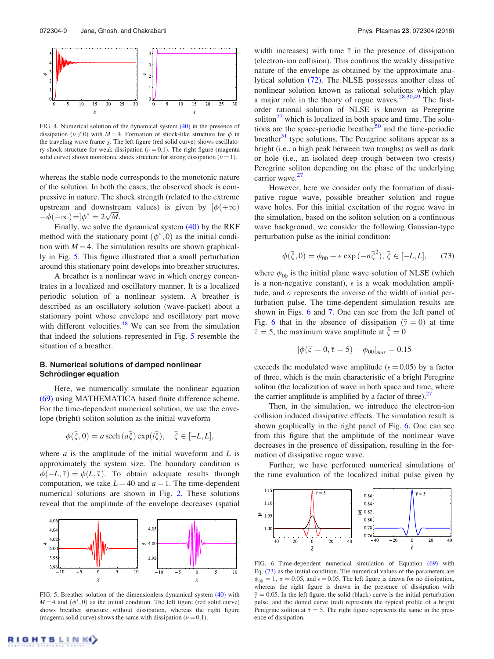

FIG. 4. Numerical solution of the dynamical system  $(40)$  in the presence of dissipation ( $\nu \neq 0$ ) with *M* = 4. Formation of shock-like structure for  $\phi$  in the traveling wave frame  $\chi$ . The left figure (red solid curve) shows oscillatory shock structure for weak dissipation ( $\nu$  = 0.1). The right figure (magenta solid curve) shows monotonic shock structure for strong dissipation ( $\nu = 1$ ).

whereas the stable node corresponds to the monotonic nature of the solution. In both the cases, the observed shock is compressive in nature. The shock strength (related to the extreme upstream and downstream values) is given by  $\phi(+\infty)$  $-\phi(-\infty) = \phi^* = 2\sqrt{M}.$ 

Finally, we solve the dynamical system (40) by the RKF method with the stationary point  $(\phi^*, 0)$  as the initial condition with  $M = 4$ . The simulation results are shown graphically in Fig. 5. This figure illustrated that a small perturbation around this stationary point develops into breather structures.

A breather is a nonlinear wave in which energy concentrates in a localized and oscillatory manner. It is a localized periodic solution of a nonlinear system. A breather is described as an oscillatory solution (wave-packet) about a stationary point whose envelope and oscillatory part move with different velocities. $48$  We can see from the simulation that indeed the solutions represented in Fig. 5 resemble the situation of a breather.

## B. Numerical solutions of damped nonlinear Schrödinger equation

Here, we numerically simulate the nonlinear equation (69) using MATHEMATICA based finite difference scheme. For the time-dependent numerical solution, we use the envelope (bright) soliton solution as the initial waveform

$$
\phi(\bar{\xi},0) = a \operatorname{sech}\left(a\bar{\xi}\right) \exp(i\bar{\xi}), \quad \bar{\xi} \in [-L,L],
$$

where *a* is the amplitude of the initial waveform and *L* is approximately the system size. The boundary condition is  $\phi(-L, \overline{\tau}) = \phi(L, \overline{\tau})$ . To obtain adequate results through computation, we take  $L = 40$  and  $a = 1$ . The time-dependent numerical solutions are shown in Fig. 2. These solutions reveal that the amplitude of the envelope decreases (spatial



FIG. 5. Breather solution of the dimensionless dynamical system (40) with  $M = 4$  and  $(\phi^*, 0)$  as the initial condition. The left figure (red solid curve) shows breather structure without dissipation, whereas the right figure (magenta solid curve) shows the same with dissipation ( $\nu = 0.1$ ).

width increases) with time  $\bar{\tau}$  in the presence of dissipation (electron-ion collision). This confirms the weakly dissipative nature of the envelope as obtained by the approximate analytical solution (72). The NLSE possesses another class of nonlinear solution known as rational solutions which play a major role in the theory of rogue waves. $28,30,49$  The firstorder rational solution of NLSE is known as Peregrine soliton $^{27}$  which is localized in both space and time. The solutions are the space-periodic breather<sup>50</sup> and the time-periodic breather $<sup>51</sup>$  type solutions. The Peregrine solitons appear as a</sup> bright (i.e., a high peak between two troughs) as well as dark or hole (i.e., an isolated deep trough between two crests) Peregrine soliton depending on the phase of the underlying carrier wave. $27$ 

However, here we consider only the formation of dissipative rogue wave, possible breather solution and rogue wave holes. For this initial excitation of the rogue wave in the simulation, based on the soliton solution on a continuous wave background, we consider the following Gaussian-type perturbation pulse as the initial condition:

$$
\phi(\bar{\xi},0) = \phi_{00} + \epsilon \exp(-\sigma \bar{\xi}^2), \ \bar{\xi} \in [-L,L], \tag{73}
$$

where  $\phi_{00}$  is the initial plane wave solution of NLSE (which is a non-negative constant),  $\epsilon$  is a weak modulation amplitude, and  $\sigma$  represents the inverse of the width of initial perturbation pulse. The time-dependent simulation results are shown in Figs. 6 and 7. One can see from the left panel of Fig. 6 that in the absence of dissipation  $(\bar{y} = 0)$  at time  $\bar{\tau} = 5$ , the maximum wave amplitude at  $\bar{\zeta} = 0$ 

$$
|\phi(\bar{\xi}=0,\bar{\tau}=5)-\phi_{00}|_{max}=0.15
$$

exceeds the modulated wave amplitude ( $\epsilon$  = 0.05) by a factor of three, which is the main characteristic of a bright Peregrine soliton (the localization of wave in both space and time, where the carrier amplitude is amplified by a factor of three).<sup>27</sup>

Then, in the simulation, we introduce the electron-ion collision induced dissipative effects. The simulation result is shown graphically in the right panel of Fig. 6. One can see from this figure that the amplitude of the nonlinear wave decreases in the presence of dissipation, resulting in the formation of dissipative rogue wave.

Further, we have performed numerical simulations of the time evaluation of the localized initial pulse given by



FIG. 6. Time-dependent numerical simulation of Equation (69) with Eq. (73) as the initial condition. The numerical values of the parameters are  $\phi_{00} = 1$ ,  $\sigma = 0.05$ , and  $\epsilon = 0.05$ . The left figure is drawn for no dissipation, whereas the right figure is drawn in the presence of dissipation with  $\bar{\gamma} = 0.05$ . In the left figure, the solid (black) curve is the initial perturbation pulse, and the dotted curve (red) represents the typical profile of a bright Peregrine soliton at  $\bar{\tau} = 5$ . The right figure represents the same in the presence of dissipation.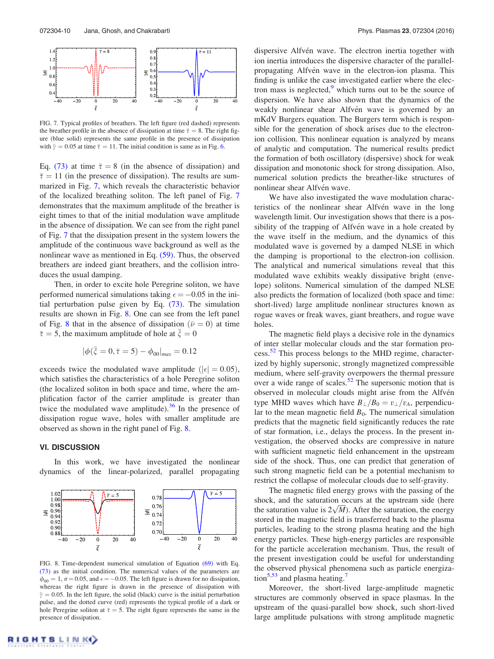

FIG. 7. Typical profiles of breathers. The left figure (red dashed) represents the breather profile in the absence of dissipation at time  $\bar{\tau} = 8$ . The right figure (blue solid) represents the same profile in the presence of dissipation with  $\bar{y} = 0.05$  at time  $\bar{\tau} = 11$ . The initial condition is same as in Fig. 6.

Eq. (73) at time  $\bar{\tau} = 8$  (in the absence of dissipation) and  $\bar{\tau} = 11$  (in the presence of dissipation). The results are summarized in Fig. 7, which reveals the characteristic behavior of the localized breathing soliton. The left panel of Fig. 7 demonstrates that the maximum amplitude of the breather is eight times to that of the initial modulation wave amplitude in the absence of dissipation. We can see from the right panel of Fig. 7 that the dissipation present in the system lowers the amplitude of the continuous wave background as well as the nonlinear wave as mentioned in Eq. (59). Thus, the observed breathers are indeed giant breathers, and the collision introduces the usual damping.

Then, in order to excite hole Peregrine soliton, we have performed numerical simulations taking  $\epsilon = -0.05$  in the initial perturbation pulse given by Eq. (73). The simulation results are shown in Fig. 8. One can see from the left panel of Fig. 8 that in the absence of dissipation  $(\bar{\nu} = 0)$  at time  $\bar{\tau}$  = 5, the maximum amplitude of hole at  $\bar{\zeta}$  = 0

$$
|\phi(\bar{\xi}=0,\bar{\tau}=5)-\phi_{00}|_{max}=0.12
$$

exceeds twice the modulated wave amplitude ( $|\epsilon| = 0.05$ ), which satisfies the characteristics of a hole Peregrine soliton (the localized soliton in both space and time, where the amplification factor of the carrier amplitude is greater than twice the modulated wave amplitude). $36$  In the presence of dissipation rogue wave, holes with smaller amplitude are observed as shown in the right panel of Fig. 8.

#### VI. DISCUSSION

In this work, we have investigated the nonlinear dynamics of the linear-polarized, parallel propagating



FIG. 8. Time-dependent numerical simulation of Equation (69) with Eq. (73) as the initial condition. The numerical values of the parameters are  $\phi_{00} = 1$ ,  $\sigma = 0.05$ , and  $\epsilon = -0.05$ . The left figure is drawn for no dissipation, whereas the right figure is drawn in the presence of dissipation with  $\bar{\gamma} = 0.05$ . In the left figure, the solid (black) curve is the initial perturbation pulse, and the dotted curve (red) represents the typical profile of a dark or hole Peregrine soliton at  $\bar{\tau} = 5$ . The right figure represents the same in the presence of dissipation.

dispersive Alfvén wave. The electron inertia together with ion inertia introduces the dispersive character of the parallelpropagating Alfvén wave in the electron-ion plasma. This finding is unlike the case investigated earlier where the electron mass is neglected, $9$  which turns out to be the source of dispersion. We have also shown that the dynamics of the weakly nonlinear shear Alfvén wave is governed by an mKdV Burgers equation. The Burgers term which is responsible for the generation of shock arises due to the electronion collision. This nonlinear equation is analyzed by means of analytic and computation. The numerical results predict the formation of both oscillatory (dispersive) shock for weak dissipation and monotonic shock for strong dissipation. Also, numerical solution predicts the breather-like structures of nonlinear shear Alfvén wave.

We have also investigated the wave modulation characteristics of the nonlinear shear Alfvén wave in the long wavelength limit. Our investigation shows that there is a possibility of the trapping of Alfvén wave in a hole created by the wave itself in the medium, and the dynamics of this modulated wave is governed by a damped NLSE in which the damping is proportional to the electron-ion collision. The analytical and numerical simulations reveal that this modulated wave exhibits weakly dissipative bright (envelope) solitons. Numerical simulation of the damped NLSE also predicts the formation of localized (both space and time: short-lived) large amplitude nonlinear structures known as rogue waves or freak waves, giant breathers, and rogue wave holes.

The magnetic field plays a decisive role in the dynamics of inter stellar molecular clouds and the star formation process.<sup>52</sup> This process belongs to the MHD regime, characterized by highly supersonic, strongly magnetized compressible medium, where self-gravity overpowers the thermal pressure over a wide range of scales.<sup>52</sup> The supersonic motion that is observed in molecular clouds might arise from the Alfvén type MHD waves which have  $B_{\perp}/B_0 = v_{\perp}/v_A$ , perpendicular to the mean magnetic field  $B_0$ . The numerical simulation predicts that the magnetic field significantly reduces the rate of star formation, i.e., delays the process. In the present investigation, the observed shocks are compressive in nature with sufficient magnetic field enhancement in the upstream side of the shock. Thus, one can predict that generation of such strong magnetic field can be a potential mechanism to restrict the collapse of molecular clouds due to self-gravity.

The magnetic filed energy grows with the passing of the shock, and the saturation occurs at the upstream side (here the saturation value is  $2\sqrt{M}$ ). After the saturation, the energy stored in the magnetic field is transferred back to the plasma particles, leading to the strong plasma heating and the high energy particles. These high-energy particles are responsible for the particle acceleration mechanism. Thus, the result of the present investigation could be useful for understanding the observed physical phenomena such as particle energization<sup>5,53</sup> and plasma heating.<sup>7</sup>

Moreover, the short-lived large-amplitude magnetic structures are commonly observed in space plasmas. In the upstream of the quasi-parallel bow shock, such short-lived large amplitude pulsations with strong amplitude magnetic